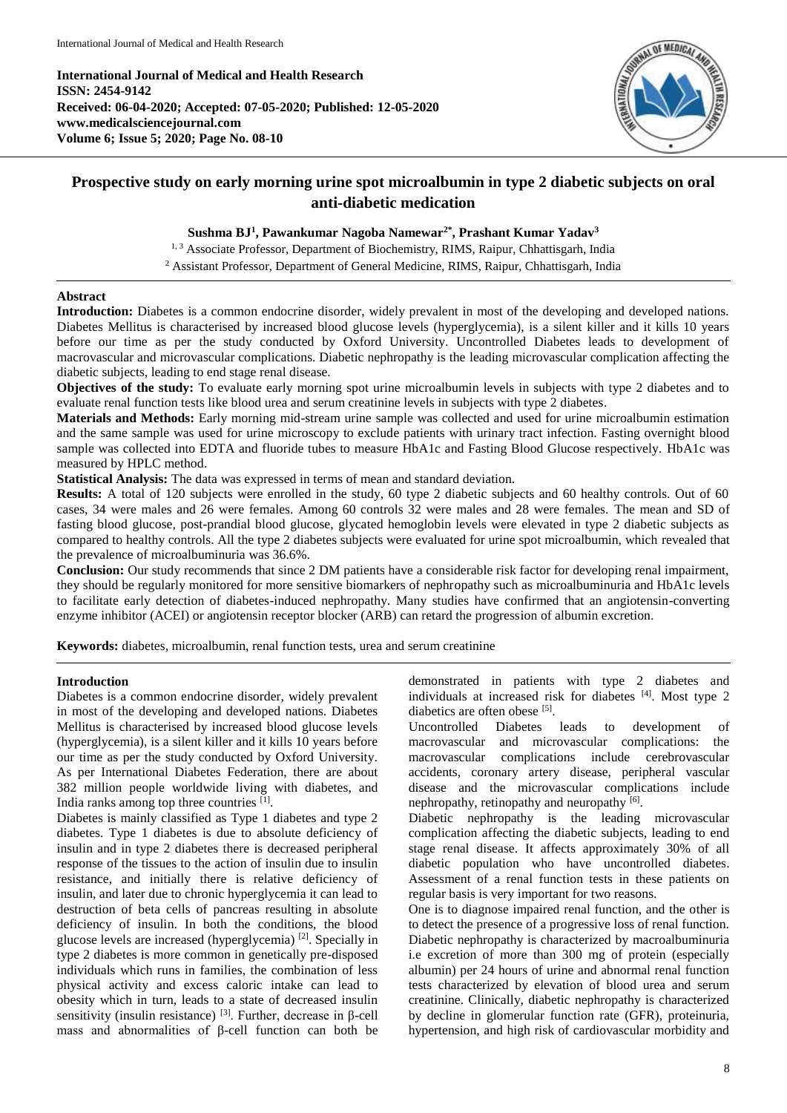**International Journal of Medical and Health Research ISSN: 2454-9142 Received: 06-04-2020; Accepted: 07-05-2020; Published: 12-05-2020 www.medicalsciencejournal.com Volume 6; Issue 5; 2020; Page No. 08-10**



# **Prospective study on early morning urine spot microalbumin in type 2 diabetic subjects on oral anti-diabetic medication**

# **Sushma BJ<sup>1</sup> , Pawankumar Nagoba Namewar2\* , Prashant Kumar Yadav<sup>3</sup>**

<sup>1, 3</sup> Associate Professor, Department of Biochemistry, RIMS, Raipur, Chhattisgarh, India <sup>2</sup> Assistant Professor, Department of General Medicine, RIMS, Raipur, Chhattisgarh, India

## **Abstract**

**Introduction:** Diabetes is a common endocrine disorder, widely prevalent in most of the developing and developed nations. Diabetes Mellitus is characterised by increased blood glucose levels (hyperglycemia), is a silent killer and it kills 10 years before our time as per the study conducted by Oxford University. Uncontrolled Diabetes leads to development of macrovascular and microvascular complications. Diabetic nephropathy is the leading microvascular complication affecting the diabetic subjects, leading to end stage renal disease.

**Objectives of the study:** To evaluate early morning spot urine microalbumin levels in subjects with type 2 diabetes and to evaluate renal function tests like blood urea and serum creatinine levels in subjects with type 2 diabetes.

**Materials and Methods:** Early morning mid-stream urine sample was collected and used for urine microalbumin estimation and the same sample was used for urine microscopy to exclude patients with urinary tract infection. Fasting overnight blood sample was collected into EDTA and fluoride tubes to measure HbA1c and Fasting Blood Glucose respectively. HbA1c was measured by HPLC method.

**Statistical Analysis:** The data was expressed in terms of mean and standard deviation.

**Results:** A total of 120 subjects were enrolled in the study, 60 type 2 diabetic subjects and 60 healthy controls. Out of 60 cases, 34 were males and 26 were females. Among 60 controls 32 were males and 28 were females. The mean and SD of fasting blood glucose, post-prandial blood glucose, glycated hemoglobin levels were elevated in type 2 diabetic subjects as compared to healthy controls. All the type 2 diabetes subjects were evaluated for urine spot microalbumin, which revealed that the prevalence of microalbuminuria was 36.6%.

**Conclusion:** Our study recommends that since 2 DM patients have a considerable risk factor for developing renal impairment, they should be regularly monitored for more sensitive biomarkers of nephropathy such as microalbuminuria and HbA1c levels to facilitate early detection of diabetes-induced nephropathy. Many studies have confirmed that an angiotensin-converting enzyme inhibitor (ACEI) or angiotensin receptor blocker (ARB) can retard the progression of albumin excretion.

**Keywords:** diabetes, microalbumin, renal function tests, urea and serum creatinine

## **Introduction**

Diabetes is a common endocrine disorder, widely prevalent in most of the developing and developed nations. Diabetes Mellitus is characterised by increased blood glucose levels (hyperglycemia), is a silent killer and it kills 10 years before our time as per the study conducted by Oxford University. As per International Diabetes Federation, there are about 382 million people worldwide living with diabetes, and India ranks among top three countries [1].

Diabetes is mainly classified as Type 1 diabetes and type 2 diabetes. Type 1 diabetes is due to absolute deficiency of insulin and in type 2 diabetes there is decreased peripheral response of the tissues to the action of insulin due to insulin resistance, and initially there is relative deficiency of insulin, and later due to chronic hyperglycemia it can lead to destruction of beta cells of pancreas resulting in absolute deficiency of insulin. In both the conditions, the blood glucose levels are increased (hyperglycemia)<sup>[2]</sup>. Specially in type 2 diabetes is more common in genetically pre-disposed individuals which runs in families, the combination of less physical activity and excess caloric intake can lead to obesity which in turn, leads to a state of decreased insulin sensitivity (insulin resistance)  $^{[3]}$ . Further, decrease in  $\beta$ -cell mass and abnormalities of β-cell function can both be demonstrated in patients with type 2 diabetes and individuals at increased risk for diabetes [4]. Most type 2 diabetics are often obese [5].

Uncontrolled Diabetes leads to development of macrovascular and microvascular complications: the macrovascular complications include cerebrovascular accidents, coronary artery disease, peripheral vascular disease and the microvascular complications include nephropathy, retinopathy and neuropathy [6].

Diabetic nephropathy is the leading microvascular complication affecting the diabetic subjects, leading to end stage renal disease. It affects approximately 30% of all diabetic population who have uncontrolled diabetes. Assessment of a renal function tests in these patients on regular basis is very important for two reasons.

One is to diagnose impaired renal function, and the other is to detect the presence of a progressive loss of renal function. Diabetic nephropathy is characterized by macroalbuminuria i.e excretion of more than 300 mg of protein (especially albumin) per 24 hours of urine and abnormal renal function tests characterized by elevation of blood urea and serum creatinine. Clinically, diabetic nephropathy is characterized by decline in glomerular function rate (GFR), proteinuria, hypertension, and high risk of cardiovascular morbidity and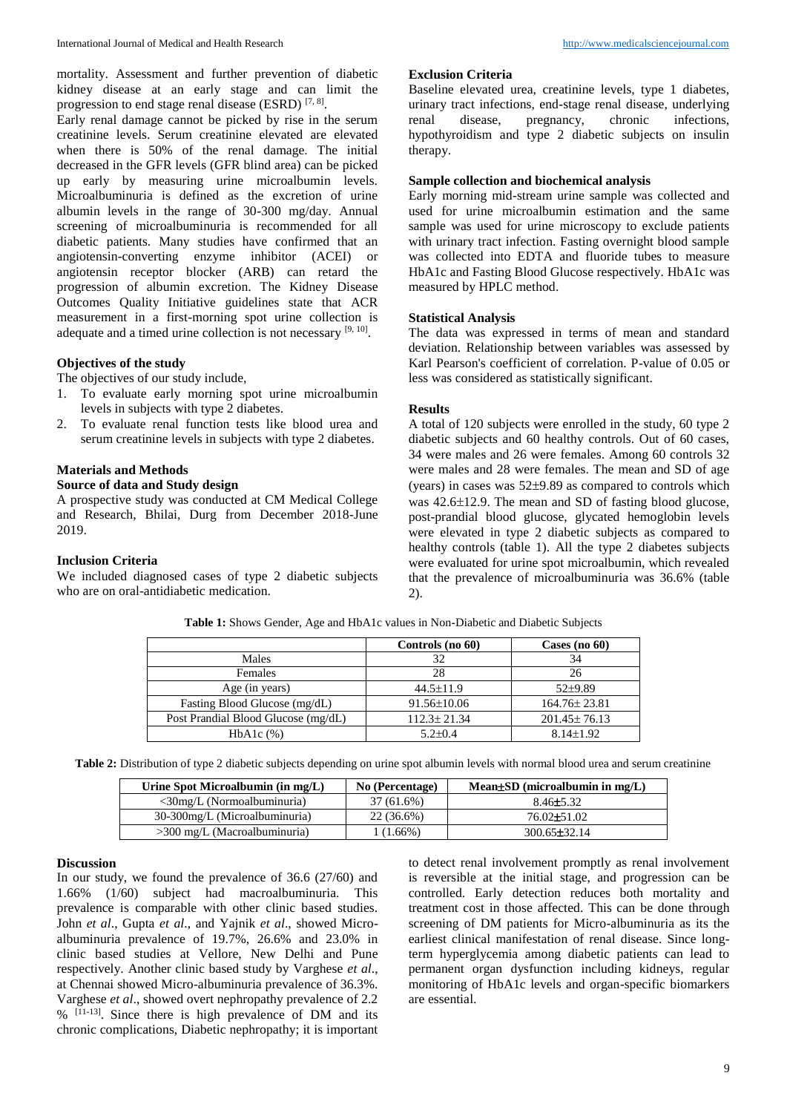mortality. Assessment and further prevention of diabetic kidney disease at an early stage and can limit the progression to end stage renal disease (ESRD)  $[7, 8]$ .

Early renal damage cannot be picked by rise in the serum creatinine levels. Serum creatinine elevated are elevated when there is 50% of the renal damage. The initial decreased in the GFR levels (GFR blind area) can be picked up early by measuring urine microalbumin levels. Microalbuminuria is defined as the excretion of urine albumin levels in the range of 30-300 mg/day. Annual screening of microalbuminuria is recommended for all diabetic patients. Many studies have confirmed that an angiotensin-converting enzyme inhibitor (ACEI) or angiotensin receptor blocker (ARB) can retard the progression of albumin excretion. The Kidney Disease Outcomes Quality Initiative guidelines state that ACR measurement in a first-morning spot urine collection is adequate and a timed urine collection is not necessary  $[9, 10]$ .

## **Objectives of the study**

The objectives of our study include,

- 1. To evaluate early morning spot urine microalbumin levels in subjects with type 2 diabetes.
- 2. To evaluate renal function tests like blood urea and serum creatinine levels in subjects with type 2 diabetes.

## **Materials and Methods**

# **Source of data and Study design**

A prospective study was conducted at CM Medical College and Research, Bhilai, Durg from December 2018-June 2019.

# **Inclusion Criteria**

We included diagnosed cases of type 2 diabetic subjects who are on oral-antidiabetic medication.

#### **Exclusion Criteria**

Baseline elevated urea, creatinine levels, type 1 diabetes, urinary tract infections, end-stage renal disease, underlying renal disease, pregnancy, chronic infections, hypothyroidism and type 2 diabetic subjects on insulin therapy.

# **Sample collection and biochemical analysis**

Early morning mid-stream urine sample was collected and used for urine microalbumin estimation and the same sample was used for urine microscopy to exclude patients with urinary tract infection. Fasting overnight blood sample was collected into EDTA and fluoride tubes to measure HbA1c and Fasting Blood Glucose respectively. HbA1c was measured by HPLC method.

#### **Statistical Analysis**

The data was expressed in terms of mean and standard deviation. Relationship between variables was assessed by Karl Pearson's coefficient of correlation. P-value of 0.05 or less was considered as statistically significant.

#### **Results**

A total of 120 subjects were enrolled in the study, 60 type 2 diabetic subjects and 60 healthy controls. Out of 60 cases, 34 were males and 26 were females. Among 60 controls 32 were males and 28 were females. The mean and SD of age (years) in cases was  $52\pm9.89$  as compared to controls which was  $42.6\pm12.9$ . The mean and SD of fasting blood glucose, post-prandial blood glucose, glycated hemoglobin levels were elevated in type 2 diabetic subjects as compared to healthy controls (table 1). All the type 2 diabetes subjects were evaluated for urine spot microalbumin, which revealed that the prevalence of microalbuminuria was 36.6% (table 2).

|                                     | Controls (no 60)  | Cases (no $60$ )   |
|-------------------------------------|-------------------|--------------------|
| Males                               | 32                | 34                 |
| Females                             | 28                | 26                 |
| Age (in years)                      | $44.5 \pm 11.9$   | $52+9.89$          |
| Fasting Blood Glucose (mg/dL)       | $91.56 \pm 10.06$ | $164.76 \pm 23.81$ |
| Post Prandial Blood Glucose (mg/dL) | $112.3 \pm 21.34$ | $201.45 \pm 76.13$ |
| $HbA1c$ $(\%)$                      | $5.2 \pm 0.4$     | $8.14 \pm 1.92$    |

**Table 1:** Shows Gender, Age and HbA1c values in Non-Diabetic and Diabetic Subjects

**Table 2:** Distribution of type 2 diabetic subjects depending on urine spot albumin levels with normal blood urea and serum creatinine

| Urine Spot Microalbumin (in mg/L)           | No (Percentage) | Mean $\pm SD$ (microalbumin in mg/L) |
|---------------------------------------------|-----------------|--------------------------------------|
| $\langle 30 \text{mg/L}$ (Normoalbuminuria) | 37 (61.6%)      | $8.46 \pm 5.32$                      |
| 30-300mg/L (Microalbuminuria)               | 22 (36.6%)      | $76.02 \pm 51.02$                    |
| $>300$ mg/L (Macroalbuminuria)              | $(1.66\%)$      | $300.65 \pm 32.14$                   |

## **Discussion**

In our study, we found the prevalence of 36.6 (27/60) and 1.66% (1/60) subject had macroalbuminuria. This prevalence is comparable with other clinic based studies. John *et al*., Gupta *et al*., and Yajnik *et al*., showed Microalbuminuria prevalence of 19.7%, 26.6% and 23.0% in clinic based studies at Vellore, New Delhi and Pune respectively. Another clinic based study by Varghese *et al*., at Chennai showed Micro-albuminuria prevalence of 36.3%. Varghese *et al*., showed overt nephropathy prevalence of 2.2 % [11-13]. Since there is high prevalence of DM and its chronic complications, Diabetic nephropathy; it is important

to detect renal involvement promptly as renal involvement is reversible at the initial stage, and progression can be controlled. Early detection reduces both mortality and treatment cost in those affected. This can be done through screening of DM patients for Micro-albuminuria as its the earliest clinical manifestation of renal disease. Since longterm hyperglycemia among diabetic patients can lead to permanent organ dysfunction including kidneys, regular monitoring of HbA1c levels and organ-specific biomarkers are essential.